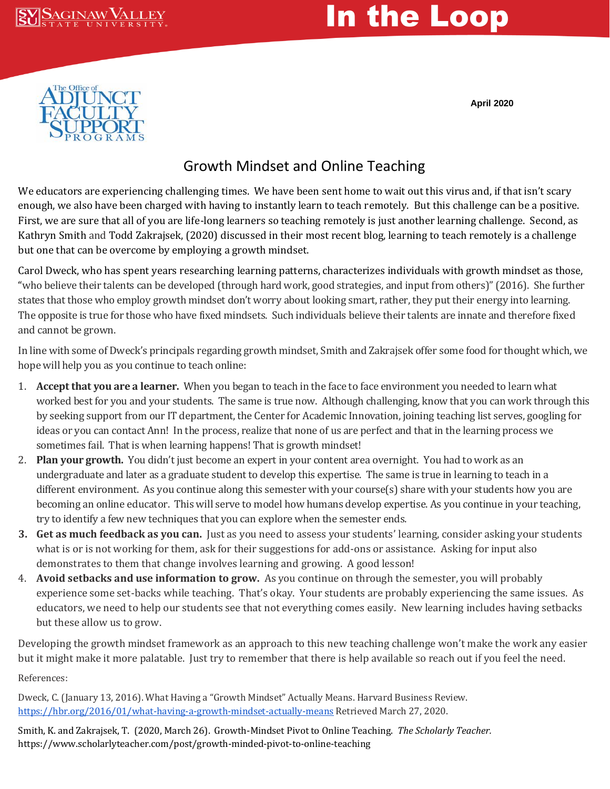

## In the Loop

**April 2020**



## Growth Mindset and Online Teaching

We educators are experiencing challenging times. We have been sent home to wait out this virus and, if that isn't scary enough, we also have been charged with having to instantly learn to teach remotely. But this challenge can be a positive. First, we are sure that all of you are life-long learners so teaching remotely is just another learning challenge. Second, as Kathryn Smith and Todd Zakrajsek, (2020) discussed in their most recent blog, learning to teach remotely is a challenge but one that can be overcome by employing a growth mindset.

Carol Dweck, who has spent years researching learning patterns, characterizes individuals with growth mindset as those, "who believe their talents can be developed (through hard work, good strategies, and input from others)" (2016). She further states that those who employ growth mindset don't worry about looking smart, rather, they put their energy into learning. The opposite is true for those who have fixed mindsets. Such individuals believe their talents are innate and therefore fixed and cannot be grown.

In line with some of Dweck's principals regarding growth mindset, Smith and Zakrajsek offer some food for thought which, we hope will help you as you continue to teach online:

- 1. **Accept that you are a learner.** When you began to teach in the face to face environment you needed to learn what worked best for you and your students. The same is true now. Although challenging, know that you can work through this by seeking support from our IT department, the Center for Academic Innovation, joining teaching list serves, googling for ideas or you can contact Ann! In the process, realize that none of us are perfect and that in the learning process we sometimes fail. That is when learning happens! That is growth mindset!
- 2. **Plan your growth.** You didn't just become an expert in your content area overnight. You had to work as an undergraduate and later as a graduate student to develop this expertise. The same is true in learning to teach in a different environment. As you continue along this semester with your course(s) share with your students how you are becoming an online educator. This will serve to model how humans develop expertise. As you continue in your teaching, try to identify a few new techniques that you can explore when the semester ends.
- **3. Get as much feedback as you can.** Just as you need to assess your students' learning, consider asking your students what is or is not working for them, ask for their suggestions for add-ons or assistance. Asking for input also demonstrates to them that change involves learning and growing. A good lesson!
- 4. **Avoid setbacks and use information to grow.** As you continue on through the semester, you will probably experience some set-backs while teaching. That's okay. Your students are probably experiencing the same issues. As educators, we need to help our students see that not everything comes easily. New learning includes having setbacks but these allow us to grow.

Developing the growth mindset framework as an approach to this new teaching challenge won't make the work any easier but it might make it more palatable. Just try to remember that there is help available so reach out if you feel the need.

References:

Dweck, C. (January 13, 2016). What Having a "Growth Mindset" Actually Means. Harvard Business Review. <https://hbr.org/2016/01/what-having-a-growth-mindset-actually-means> Retrieved March 27, 2020.

Smith, K. and Zakrajsek, T. (2020, March 26). Growth-Mindset Pivot to Online Teaching. *The Scholarly Teacher.* https://www.scholarlyteacher.com/post/growth-minded-pivot-to-online-teaching